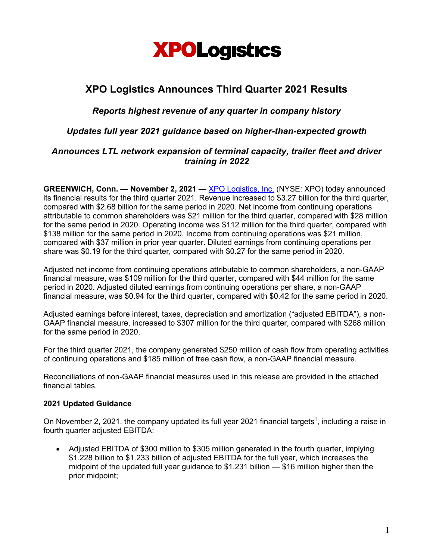

# **XPO Logistics Announces Third Quarter 2021 Results**

# *Reports highest revenue of any quarter in company history*

*Updates full year 2021 guidance based on higher-than-expected growth*

## *Announces LTL network expansion of terminal capacity, trailer fleet and driver training in 2022*

**GREENWICH, Conn. — November 2, 2021 —** XPO Logistics, Inc. (NYSE: XPO) today announced its financial results for the third quarter 2021. Revenue increased to \$3.27 billion for the third quarter, compared with \$2.68 billion for the same period in 2020. Net income from continuing operations attributable to common shareholders was \$21 million for the third quarter, compared with \$28 million for the same period in 2020. Operating income was \$112 million for the third quarter, compared with \$138 million for the same period in 2020. Income from continuing operations was \$21 million, compared with \$37 million in prior year quarter. Diluted earnings from continuing operations per share was \$0.19 for the third quarter, compared with \$0.27 for the same period in 2020.

Adjusted net income from continuing operations attributable to common shareholders, a non-GAAP financial measure, was \$109 million for the third quarter, compared with \$44 million for the same period in 2020. Adjusted diluted earnings from continuing operations per share, a non-GAAP financial measure, was \$0.94 for the third quarter, compared with \$0.42 for the same period in 2020.

Adjusted earnings before interest, taxes, depreciation and amortization ("adjusted EBITDA"), a non-GAAP financial measure, increased to \$307 million for the third quarter, compared with \$268 million for the same period in 2020.

For the third quarter 2021, the company generated \$250 million of cash flow from operating activities of continuing operations and \$185 million of free cash flow, a non-GAAP financial measure.

Reconciliations of non-GAAP financial measures used in this release are provided in the attached financial tables.

## **2021 Updated Guidance**

On November 2, 2021, the company updated its full year 2021 financial targets<sup>1</sup>, including a raise in fourth quarter adjusted EBITDA:

• Adjusted EBITDA of \$300 million to \$305 million generated in the fourth quarter, implying \$1.228 billion to \$1.233 billion of adjusted EBITDA for the full year, which increases the midpoint of the updated full year guidance to \$1.231 billion — \$16 million higher than the prior midpoint;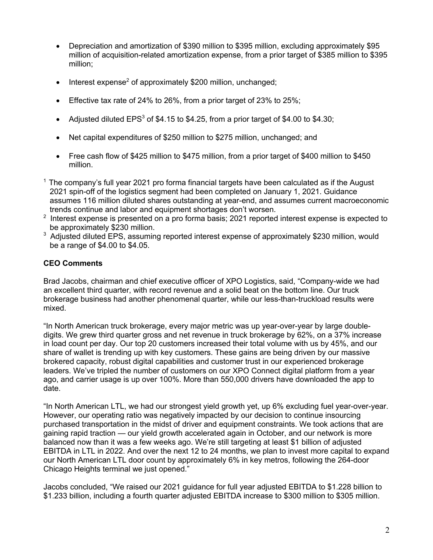- Depreciation and amortization of \$390 million to \$395 million, excluding approximately \$95 million of acquisition-related amortization expense, from a prior target of \$385 million to \$395 million;
- Interest expense<sup>2</sup> of approximately \$200 million, unchanged;
- Effective tax rate of 24% to 26%, from a prior target of 23% to 25%;
- Adjusted diluted  $EPS<sup>3</sup>$  of \$4.15 to \$4.25, from a prior target of \$4.00 to \$4.30;
- Net capital expenditures of \$250 million to \$275 million, unchanged; and
- Free cash flow of \$425 million to \$475 million, from a prior target of \$400 million to \$450 million.
- $<sup>1</sup>$  The company's full year 2021 pro forma financial targets have been calculated as if the August</sup> 2021 spin-off of the logistics segment had been completed on January 1, 2021. Guidance assumes 116 million diluted shares outstanding at year-end, and assumes current macroeconomic trends continue and labor and equipment shortages don't worsen.
- $2$  Interest expense is presented on a pro forma basis; 2021 reported interest expense is expected to be approximately \$230 million.
- <sup>3</sup> Adiusted diluted EPS, assuming reported interest expense of approximately \$230 million, would be a range of \$4.00 to \$4.05.

## **CEO Comments**

Brad Jacobs, chairman and chief executive officer of XPO Logistics, said, "Company-wide we had an excellent third quarter, with record revenue and a solid beat on the bottom line. Our truck brokerage business had another phenomenal quarter, while our less-than-truckload results were mixed.

"In North American truck brokerage, every major metric was up year-over-year by large doubledigits. We grew third quarter gross and net revenue in truck brokerage by 62%, on a 37% increase in load count per day. Our top 20 customers increased their total volume with us by 45%, and our share of wallet is trending up with key customers. These gains are being driven by our massive brokered capacity, robust digital capabilities and customer trust in our experienced brokerage leaders. We've tripled the number of customers on our XPO Connect digital platform from a year ago, and carrier usage is up over 100%. More than 550,000 drivers have downloaded the app to date.

"In North American LTL, we had our strongest yield growth yet, up 6% excluding fuel year-over-year. However, our operating ratio was negatively impacted by our decision to continue insourcing purchased transportation in the midst of driver and equipment constraints. We took actions that are gaining rapid traction — our yield growth accelerated again in October, and our network is more balanced now than it was a few weeks ago. We're still targeting at least \$1 billion of adjusted EBITDA in LTL in 2022. And over the next 12 to 24 months, we plan to invest more capital to expand our North American LTL door count by approximately 6% in key metros, following the 264-door Chicago Heights terminal we just opened."

Jacobs concluded, "We raised our 2021 guidance for full year adjusted EBITDA to \$1.228 billion to \$1.233 billion, including a fourth quarter adjusted EBITDA increase to \$300 million to \$305 million.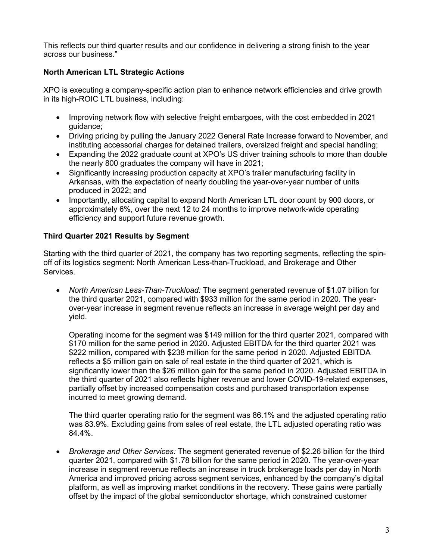This reflects our third quarter results and our confidence in delivering a strong finish to the year across our business."

# **North American LTL Strategic Actions**

XPO is executing a company-specific action plan to enhance network efficiencies and drive growth in its high-ROIC LTL business, including:

- Improving network flow with selective freight embargoes, with the cost embedded in 2021 guidance;
- Driving pricing by pulling the January 2022 General Rate Increase forward to November, and instituting accessorial charges for detained trailers, oversized freight and special handling;
- Expanding the 2022 graduate count at XPO's US driver training schools to more than double the nearly 800 graduates the company will have in 2021;
- Significantly increasing production capacity at XPO's trailer manufacturing facility in Arkansas, with the expectation of nearly doubling the year-over-year number of units produced in 2022; and
- Importantly, allocating capital to expand North American LTL door count by 900 doors, or approximately 6%, over the next 12 to 24 months to improve network-wide operating efficiency and support future revenue growth.

## **Third Quarter 2021 Results by Segment**

Starting with the third quarter of 2021, the company has two reporting segments, reflecting the spinoff of its logistics segment: North American Less-than-Truckload, and Brokerage and Other Services.

• *North American Less-Than-Truckload:* The segment generated revenue of \$1.07 billion for the third quarter 2021, compared with \$933 million for the same period in 2020. The yearover-year increase in segment revenue reflects an increase in average weight per day and yield.

Operating income for the segment was \$149 million for the third quarter 2021, compared with \$170 million for the same period in 2020. Adjusted EBITDA for the third quarter 2021 was \$222 million, compared with \$238 million for the same period in 2020. Adjusted EBITDA reflects a \$5 million gain on sale of real estate in the third quarter of 2021, which is significantly lower than the \$26 million gain for the same period in 2020. Adjusted EBITDA in the third quarter of 2021 also reflects higher revenue and lower COVID-19-related expenses, partially offset by increased compensation costs and purchased transportation expense incurred to meet growing demand.

The third quarter operating ratio for the segment was 86.1% and the adjusted operating ratio was 83.9%. Excluding gains from sales of real estate, the LTL adjusted operating ratio was 84.4%.

• *Brokerage and Other Services:* The segment generated revenue of \$2.26 billion for the third quarter 2021, compared with \$1.78 billion for the same period in 2020. The year-over-year increase in segment revenue reflects an increase in truck brokerage loads per day in North America and improved pricing across segment services, enhanced by the company's digital platform, as well as improving market conditions in the recovery. These gains were partially offset by the impact of the global semiconductor shortage, which constrained customer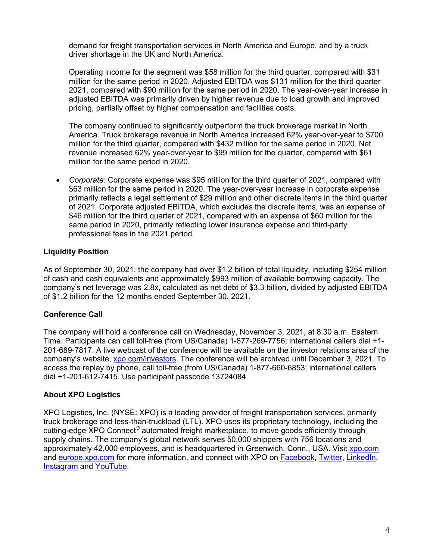demand for freight transportation services in North America and Europe, and by a truck driver shortage in the UK and North America.

Operating income for the segment was \$58 million for the third quarter, compared with \$31 million for the same period in 2020. Adjusted EBITDA was \$131 million for the third quarter 2021, compared with \$90 million for the same period in 2020. The year-over-year increase in adjusted EBITDA was primarily driven by higher revenue due to load growth and improved pricing, partially offset by higher compensation and facilities costs.

The company continued to significantly outperform the truck brokerage market in North America. Truck brokerage revenue in North America increased 62% year-over-year to \$700 million for the third quarter, compared with \$432 million for the same period in 2020. Net revenue increased 62% year-over-year to \$99 million for the quarter, compared with \$61 million for the same period in 2020.

• *Corporate:* Corporate expense was \$95 million for the third quarter of 2021, compared with \$63 million for the same period in 2020. The year-over-year increase in corporate expense primarily reflects a legal settlement of \$29 million and other discrete items in the third quarter of 2021. Corporate adjusted EBITDA, which excludes the discrete items, was an expense of \$46 million for the third quarter of 2021, compared with an expense of \$60 million for the same period in 2020, primarily reflecting lower insurance expense and third-party professional fees in the 2021 period.

## **Liquidity Position**

As of September 30, 2021, the company had over \$1.2 billion of total liquidity, including \$254 million of cash and cash equivalents and approximately \$993 million of available borrowing capacity. The company's net leverage was 2.8x, calculated as net debt of \$3.3 billion, divided by adjusted EBITDA of \$1.2 billion for the 12 months ended September 30, 2021.

## **Conference Call**

The company will hold a conference call on Wednesday, November 3, 2021, at 8:30 a.m. Eastern Time. Participants can call toll-free (from US/Canada) 1-877-269-7756; international callers dial +1- 201-689-7817. A live webcast of the conference will be available on the investor relations area of the company's website, xpo.com/investors. The conference will be archived until December 3, 2021. To access the replay by phone, call toll-free (from US/Canada) 1-877-660-6853; international callers dial +1-201-612-7415. Use participant passcode 13724084.

#### **About XPO Logistics**

XPO Logistics, Inc. (NYSE: XPO) is a leading provider of freight transportation services, primarily truck brokerage and less-than-truckload (LTL). XPO uses its proprietary technology, including the cutting-edge XPO Connect® automated freight marketplace, to move goods efficiently through supply chains. The company's global network serves 50,000 shippers with 756 locations and approximately 42,000 employees, and is headquartered in Greenwich, Conn., USA. Visit xpo.com and europe.xpo.com for more information, and connect with XPO on **Facebook**, Twitter, LinkedIn, Instagram and YouTube.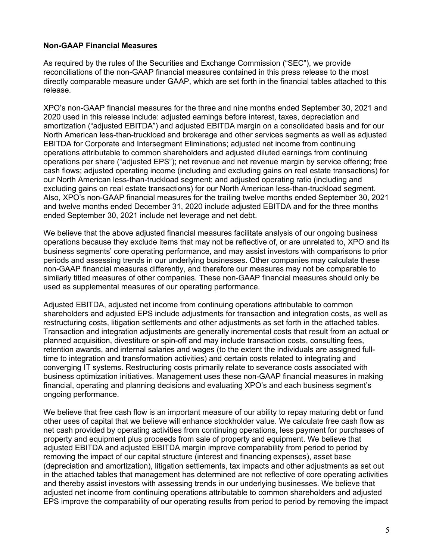#### **Non-GAAP Financial Measures**

As required by the rules of the Securities and Exchange Commission ("SEC"), we provide reconciliations of the non-GAAP financial measures contained in this press release to the most directly comparable measure under GAAP, which are set forth in the financial tables attached to this release.

XPO's non-GAAP financial measures for the three and nine months ended September 30, 2021 and 2020 used in this release include: adjusted earnings before interest, taxes, depreciation and amortization ("adjusted EBITDA") and adjusted EBITDA margin on a consolidated basis and for our North American less-than-truckload and brokerage and other services segments as well as adjusted EBITDA for Corporate and Intersegment Eliminations; adjusted net income from continuing operations attributable to common shareholders and adjusted diluted earnings from continuing operations per share ("adjusted EPS"); net revenue and net revenue margin by service offering; free cash flows; adjusted operating income (including and excluding gains on real estate transactions) for our North American less-than-truckload segment; and adjusted operating ratio (including and excluding gains on real estate transactions) for our North American less-than-truckload segment. Also, XPO's non-GAAP financial measures for the trailing twelve months ended September 30, 2021 and twelve months ended December 31, 2020 include adjusted EBITDA and for the three months ended September 30, 2021 include net leverage and net debt.

We believe that the above adjusted financial measures facilitate analysis of our ongoing business operations because they exclude items that may not be reflective of, or are unrelated to, XPO and its business segments' core operating performance, and may assist investors with comparisons to prior periods and assessing trends in our underlying businesses. Other companies may calculate these non-GAAP financial measures differently, and therefore our measures may not be comparable to similarly titled measures of other companies. These non-GAAP financial measures should only be used as supplemental measures of our operating performance.

Adjusted EBITDA, adjusted net income from continuing operations attributable to common shareholders and adjusted EPS include adjustments for transaction and integration costs, as well as restructuring costs, litigation settlements and other adjustments as set forth in the attached tables. Transaction and integration adjustments are generally incremental costs that result from an actual or planned acquisition, divestiture or spin-off and may include transaction costs, consulting fees, retention awards, and internal salaries and wages (to the extent the individuals are assigned fulltime to integration and transformation activities) and certain costs related to integrating and converging IT systems. Restructuring costs primarily relate to severance costs associated with business optimization initiatives. Management uses these non-GAAP financial measures in making financial, operating and planning decisions and evaluating XPO's and each business segment's ongoing performance.

We believe that free cash flow is an important measure of our ability to repay maturing debt or fund other uses of capital that we believe will enhance stockholder value. We calculate free cash flow as net cash provided by operating activities from continuing operations, less payment for purchases of property and equipment plus proceeds from sale of property and equipment. We believe that adjusted EBITDA and adjusted EBITDA margin improve comparability from period to period by removing the impact of our capital structure (interest and financing expenses), asset base (depreciation and amortization), litigation settlements, tax impacts and other adjustments as set out in the attached tables that management has determined are not reflective of core operating activities and thereby assist investors with assessing trends in our underlying businesses. We believe that adjusted net income from continuing operations attributable to common shareholders and adjusted EPS improve the comparability of our operating results from period to period by removing the impact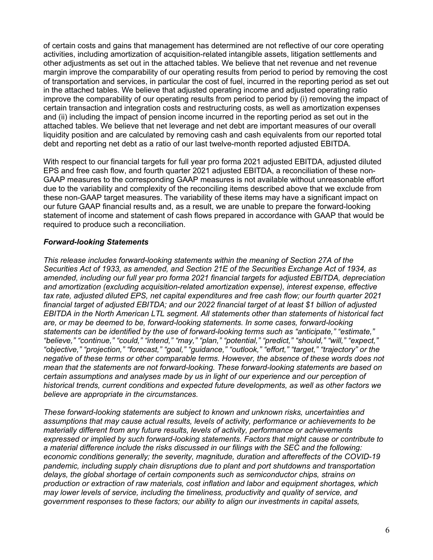of certain costs and gains that management has determined are not reflective of our core operating activities, including amortization of acquisition-related intangible assets, litigation settlements and other adjustments as set out in the attached tables. We believe that net revenue and net revenue margin improve the comparability of our operating results from period to period by removing the cost of transportation and services, in particular the cost of fuel, incurred in the reporting period as set out in the attached tables. We believe that adjusted operating income and adjusted operating ratio improve the comparability of our operating results from period to period by (i) removing the impact of certain transaction and integration costs and restructuring costs, as well as amortization expenses and (ii) including the impact of pension income incurred in the reporting period as set out in the attached tables. We believe that net leverage and net debt are important measures of our overall liquidity position and are calculated by removing cash and cash equivalents from our reported total debt and reporting net debt as a ratio of our last twelve-month reported adjusted EBITDA.

With respect to our financial targets for full year pro forma 2021 adjusted EBITDA, adjusted diluted EPS and free cash flow, and fourth quarter 2021 adjusted EBITDA, a reconciliation of these non-GAAP measures to the corresponding GAAP measures is not available without unreasonable effort due to the variability and complexity of the reconciling items described above that we exclude from these non-GAAP target measures. The variability of these items may have a significant impact on our future GAAP financial results and, as a result, we are unable to prepare the forward-looking statement of income and statement of cash flows prepared in accordance with GAAP that would be required to produce such a reconciliation.

#### *Forward-looking Statements*

*This release includes forward-looking statements within the meaning of Section 27A of the Securities Act of 1933, as amended, and Section 21E of the Securities Exchange Act of 1934, as amended, including our full year pro forma 2021 financial targets for adjusted EBITDA, depreciation and amortization (excluding acquisition-related amortization expense), interest expense, effective tax rate, adjusted diluted EPS, net capital expenditures and free cash flow; our fourth quarter 2021 financial target of adjusted EBITDA; and our 2022 financial target of at least \$1 billion of adjusted EBITDA in the North American LTL segment. All statements other than statements of historical fact are, or may be deemed to be, forward-looking statements. In some cases, forward-looking statements can be identified by the use of forward-looking terms such as "anticipate," "estimate," "believe," "continue," "could," "intend," "may," "plan," "potential," "predict," "should," "will," "expect," "objective," "projection," "forecast," "goal," "guidance," "outlook," "effort," "target," "trajectory" or the negative of these terms or other comparable terms. However, the absence of these words does not mean that the statements are not forward-looking. These forward-looking statements are based on certain assumptions and analyses made by us in light of our experience and our perception of historical trends, current conditions and expected future developments, as well as other factors we believe are appropriate in the circumstances.*

*These forward-looking statements are subject to known and unknown risks, uncertainties and assumptions that may cause actual results, levels of activity, performance or achievements to be materially different from any future results, levels of activity, performance or achievements expressed or implied by such forward-looking statements. Factors that might cause or contribute to a material difference include the risks discussed in our filings with the SEC and the following: economic conditions generally; the severity, magnitude, duration and aftereffects of the COVID-19 pandemic, including supply chain disruptions due to plant and port shutdowns and transportation delays, the global shortage of certain components such as semiconductor chips, strains on production or extraction of raw materials, cost inflation and labor and equipment shortages, which may lower levels of service, including the timeliness, productivity and quality of service, and government responses to these factors; our ability to align our investments in capital assets,*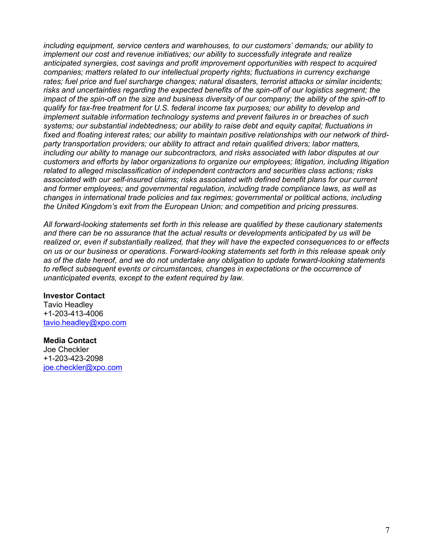*including equipment, service centers and warehouses, to our customers' demands; our ability to implement our cost and revenue initiatives; our ability to successfully integrate and realize anticipated synergies, cost savings and profit improvement opportunities with respect to acquired companies; matters related to our intellectual property rights; fluctuations in currency exchange rates; fuel price and fuel surcharge changes; natural disasters, terrorist attacks or similar incidents; risks and uncertainties regarding the expected benefits of the spin-off of our logistics segment; the impact of the spin-off on the size and business diversity of our company; the ability of the spin-off to qualify for tax-free treatment for U.S. federal income tax purposes; our ability to develop and implement suitable information technology systems and prevent failures in or breaches of such systems; our substantial indebtedness; our ability to raise debt and equity capital; fluctuations in fixed and floating interest rates; our ability to maintain positive relationships with our network of thirdparty transportation providers; our ability to attract and retain qualified drivers; labor matters, including our ability to manage our subcontractors, and risks associated with labor disputes at our customers and efforts by labor organizations to organize our employees; litigation, including litigation related to alleged misclassification of independent contractors and securities class actions; risks associated with our self-insured claims; risks associated with defined benefit plans for our current and former employees; and governmental regulation, including trade compliance laws, as well as changes in international trade policies and tax regimes; governmental or political actions, including the United Kingdom's exit from the European Union; and competition and pricing pressures.*

*All forward-looking statements set forth in this release are qualified by these cautionary statements and there can be no assurance that the actual results or developments anticipated by us will be realized or, even if substantially realized, that they will have the expected consequences to or effects on us or our business or operations. Forward-looking statements set forth in this release speak only as of the date hereof, and we do not undertake any obligation to update forward-looking statements to reflect subsequent events or circumstances, changes in expectations or the occurrence of unanticipated events, except to the extent required by law.*

#### **Investor Contact**

Tavio Headley +1-203-413-4006 tavio.headley@xpo.com

#### **Media Contact**

Joe Checkler +1-203-423-2098 joe.checkler@xpo.com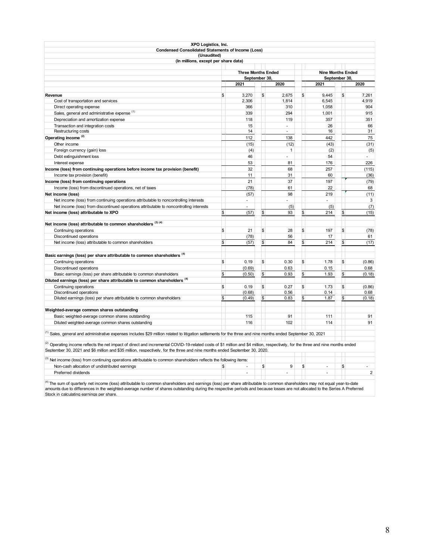| XPO Logistics, Inc.                                                                                                                                                                                                                                                                                           |                           |                |              |                          |              |                |
|---------------------------------------------------------------------------------------------------------------------------------------------------------------------------------------------------------------------------------------------------------------------------------------------------------------|---------------------------|----------------|--------------|--------------------------|--------------|----------------|
| <b>Condensed Consolidated Statements of Income (Loss)</b>                                                                                                                                                                                                                                                     |                           |                |              |                          |              |                |
| (Unaudited)<br>(In millions, except per share data)                                                                                                                                                                                                                                                           |                           |                |              |                          |              |                |
|                                                                                                                                                                                                                                                                                                               |                           |                |              |                          |              |                |
|                                                                                                                                                                                                                                                                                                               | <b>Three Months Ended</b> |                |              | <b>Nine Months Ended</b> |              |                |
|                                                                                                                                                                                                                                                                                                               | September 30              |                |              | September 30,            |              |                |
|                                                                                                                                                                                                                                                                                                               | 2021                      | 2020           |              | 2021                     |              | 2020           |
| Revenue                                                                                                                                                                                                                                                                                                       | 3.270                     | \$<br>2.675    | \$           | 9.445                    | \$           | 7.261          |
| Cost of transportation and services                                                                                                                                                                                                                                                                           | \$<br>2,306               | 1,814          |              | 6,545                    |              | 4,919          |
| Direct operating expense                                                                                                                                                                                                                                                                                      | 366                       | 310            |              | 1,058                    |              | 904            |
| Sales, general and administrative expense (1)                                                                                                                                                                                                                                                                 | 339                       | 294            |              | 1,001                    |              | 915            |
| Depreciation and amortization expense                                                                                                                                                                                                                                                                         | 118                       | 119            |              | 357                      |              | 351            |
| Transaction and integration costs                                                                                                                                                                                                                                                                             | 15                        | ÷.             |              | 26                       |              | 66             |
| Restructuring costs                                                                                                                                                                                                                                                                                           | 14                        | $\blacksquare$ |              | 16                       |              | 31             |
| Operating income <sup>(2)</sup>                                                                                                                                                                                                                                                                               | 112                       | 138            |              | 442                      |              | 75             |
| Other income                                                                                                                                                                                                                                                                                                  | (15)                      | (12)           |              | (43)                     |              | (31)           |
| Foreign currency (gain) loss                                                                                                                                                                                                                                                                                  | (4)                       | $\mathbf{1}$   |              | (2)                      |              | (5)            |
| Debt extinguishment loss                                                                                                                                                                                                                                                                                      | 46                        | ä,             |              | 54                       |              | ÷.             |
| Interest expense                                                                                                                                                                                                                                                                                              | 53                        | 81             |              | 176                      |              | 226            |
| Income (loss) from continuing operations before income tax provision (benefit)                                                                                                                                                                                                                                | 32                        | 68             |              | 257                      |              | (115)          |
| Income tax provision (benefit)                                                                                                                                                                                                                                                                                | 11                        | 31             |              | 60                       |              | (36)           |
| Income (loss) from continuing operations                                                                                                                                                                                                                                                                      | 21                        | 37             |              | 197                      |              | (79)           |
| Income (loss) from discontinued operations, net of taxes                                                                                                                                                                                                                                                      | (78)                      | 61             |              | 22                       |              | 68             |
| Net income (loss)                                                                                                                                                                                                                                                                                             | (57)                      | 98             |              | 219                      |              | (11)           |
| Net income (loss) from continuing operations attributable to noncontrolling interests                                                                                                                                                                                                                         | $\sim$                    |                |              | ÷.                       |              | 3              |
| Net income (loss) from discontinued operations attributable to noncontrolling interests                                                                                                                                                                                                                       | L.                        | (5)            |              | (5)                      |              | (7)            |
| Net income (loss) attributable to XPO                                                                                                                                                                                                                                                                         | \$<br>(57)                | \$<br>93       | \$           | 214                      | \$           | (15)           |
|                                                                                                                                                                                                                                                                                                               |                           |                |              |                          |              |                |
| Net income (loss) attributable to common shareholders (3) (4)                                                                                                                                                                                                                                                 |                           |                |              |                          |              |                |
| Continuing operations                                                                                                                                                                                                                                                                                         | \$<br>21                  | \$<br>28       | \$           | 197                      | \$           | (78)           |
| Discontinued operations                                                                                                                                                                                                                                                                                       | (78)                      | 56             |              | 17                       |              | 61             |
| Net income (loss) attributable to common shareholders                                                                                                                                                                                                                                                         | \$<br>(57)                | \$<br>84       | \$           | 214                      | \$           | (17)           |
|                                                                                                                                                                                                                                                                                                               |                           |                |              |                          |              |                |
| Basic earnings (loss) per share attributable to common shareholders <sup>(4)</sup>                                                                                                                                                                                                                            |                           |                |              |                          |              |                |
| Continuing operations                                                                                                                                                                                                                                                                                         | \$<br>0.19                | \$<br>0.30     | \$           | 1.78                     | \$           | (0.86)         |
| Discontinued operations                                                                                                                                                                                                                                                                                       | (0.69)                    | 0.63           |              | 0.15                     |              | 0.68           |
| Basic earnings (loss) per share attributable to common shareholders                                                                                                                                                                                                                                           | \$<br>(0.50)              | \$<br>0.93     | $\mathbb{S}$ | 1.93                     | $\mathbb{S}$ | (0.18)         |
| Diluted earnings (loss) per share attributable to common shareholders <sup>(4)</sup>                                                                                                                                                                                                                          |                           |                |              |                          |              |                |
| Continuing operations                                                                                                                                                                                                                                                                                         | \$<br>0.19                | \$<br>0.27     | \$           | 1.73                     | \$           | (0.86)         |
| Discontinued operations                                                                                                                                                                                                                                                                                       | (0.68)                    | 0.56           |              | 0.14                     |              | 0.68           |
| Diluted earnings (loss) per share attributable to common shareholders                                                                                                                                                                                                                                         | \$<br>(0.49)              | \$<br>0.83     | \$           | 1.87                     | \$           | (0.18)         |
|                                                                                                                                                                                                                                                                                                               |                           |                |              |                          |              |                |
| Weighted-average common shares outstanding                                                                                                                                                                                                                                                                    |                           |                |              |                          |              |                |
| Basic weighted-average common shares outstanding                                                                                                                                                                                                                                                              | 115                       | 91             |              | 111                      |              | 91             |
| Diluted weighted-average common shares outstanding                                                                                                                                                                                                                                                            | 116                       | 102            |              | 114                      |              | 91             |
| $^{(1)}$ Sales, general and administrative expenses includes \$29 million related to litigation settlements for the three and nine months ended September 30, 2021                                                                                                                                            |                           |                |              |                          |              |                |
| (2) Operating income reflects the net impact of direct and incremental COVID-19-related costs of \$1 million and \$4 million, respectively, for the three and nine months ended<br>September 30, 2021 and \$6 million and \$35 million, respectively, for the three and nine months ended September 30, 2020. |                           |                |              |                          |              |                |
| <sup>(3)</sup> Net income (loss) from continuing operations attributable to common shareholders reflects the following items:                                                                                                                                                                                 |                           |                |              |                          |              |                |
| Non-cash allocation of undistributed earnings                                                                                                                                                                                                                                                                 | \$<br>$\sim$              | \$<br>9        | \$           | ÷.                       | \$           | ÷.             |
| Preferred dividends                                                                                                                                                                                                                                                                                           | ä,                        |                |              |                          |              | $\overline{2}$ |
|                                                                                                                                                                                                                                                                                                               |                           |                |              |                          |              |                |

<sup>(4)</sup> The sum of quarterly net income (loss) attributable to common shareholders and earnings (loss) per share attributable to common shareholders may not equal year-to-date<br>amounts due to differences in the weighted-avera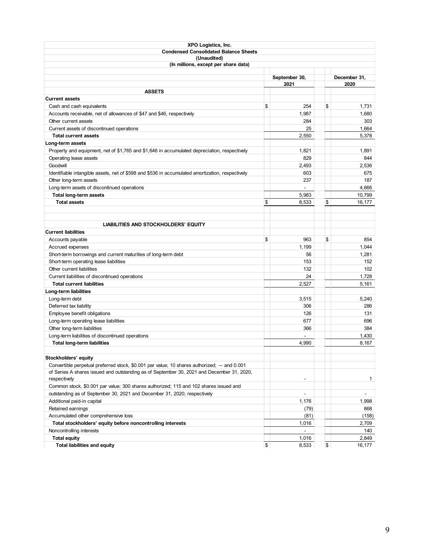| XPO Logistics, Inc.                                                                              |                |              |
|--------------------------------------------------------------------------------------------------|----------------|--------------|
| <b>Condensed Consolidated Balance Sheets</b>                                                     |                |              |
| (Unaudited)                                                                                      |                |              |
| (In millions, except per share data)                                                             |                |              |
|                                                                                                  | September 30,  | December 31, |
|                                                                                                  | 2021           | 2020         |
| <b>ASSETS</b>                                                                                    |                |              |
| <b>Current assets</b>                                                                            |                |              |
| Cash and cash equivalents                                                                        | \$<br>254      | \$<br>1,731  |
| Accounts receivable, net of allowances of \$47 and \$46, respectively                            | 1,987          | 1,680        |
| Other current assets                                                                             | 284            | 303          |
| Current assets of discontinued operations                                                        | 25             | 1.664        |
| <b>Total current assets</b>                                                                      | 2,550          | 5,378        |
| Long-term assets                                                                                 |                |              |
| Property and equipment, net of \$1,765 and \$1,646 in accumulated depreciation, respectively     | 1,821          | 1,891        |
| Operating lease assets                                                                           | 829            | 844          |
| Goodwill                                                                                         | 2,493          | 2,536        |
| Identifiable intangible assets, net of \$598 and \$536 in accumulated amortization, respectively | 603            | 675          |
| Other long-term assets                                                                           | 237            | 187          |
| Long-term assets of discontinued operations                                                      | $\overline{a}$ | 4,666        |
| <b>Total long-term assets</b>                                                                    | 5,983          | 10,799       |
| <b>Total assets</b>                                                                              | \$<br>8,533    | \$<br>16,177 |
|                                                                                                  |                |              |
|                                                                                                  |                |              |
| <b>LIABILITIES AND STOCKHOLDERS' EQUITY</b>                                                      |                |              |
| <b>Current liabilities</b>                                                                       |                |              |
| Accounts payable                                                                                 | \$<br>963      | \$<br>854    |
| Accrued expenses                                                                                 | 1,199          | 1,044        |
| Short-term borrowings and current maturities of long-term debt                                   | 56             | 1,281        |
| Short-term operating lease liabilities                                                           | 153            | 152          |
| Other current liabilities                                                                        | 132            | 102          |
| Current liabilities of discontinued operations                                                   | 24             | 1,728        |
| <b>Total current liabilities</b>                                                                 | 2,527          | 5,161        |
| Long-term liabilities                                                                            |                |              |
| Long-term debt                                                                                   | 3,515          | 5,240        |
| Deferred tax liability                                                                           | 306            | 286          |
| Employee benefit obligations                                                                     | 126            | 131          |
| Long-term operating lease liabilities                                                            | 677            | 696          |
| Other long-term liabilities                                                                      | 366            | 384          |
| Long-term liabilities of discontinued operations                                                 | ÷,             | 1,430        |
| <b>Total long-term liabilities</b>                                                               | 4.990          | 8,167        |
|                                                                                                  |                |              |
| Stockholders' equity                                                                             |                |              |
| Convertible perpetual preferred stock, \$0.001 par value; 10 shares authorized; — and 0.001      |                |              |
| of Series A shares issued and outstanding as of September 30, 2021 and December 31, 2020,        |                |              |
| respectively                                                                                     |                | 1            |
| Common stock, \$0.001 par value; 300 shares authorized; 115 and 102 shares issued and            |                |              |
| outstanding as of September 30, 2021 and December 31, 2020, respectively                         | $\blacksquare$ | ÷.           |
| Additional paid-in capital                                                                       | 1,176          | 1,998        |
| Retained earnings                                                                                | (79)           | 868          |
| Accumulated other comprehensive loss                                                             | (81)           | (158)        |
| Total stockholders' equity before noncontrolling interests                                       | 1,016          | 2,709        |
| Noncontrolling interests                                                                         |                | 140          |
| <b>Total equity</b>                                                                              | 1,016          | 2,849        |
| <b>Total liabilities and equity</b>                                                              | \$<br>8,533    | \$<br>16,177 |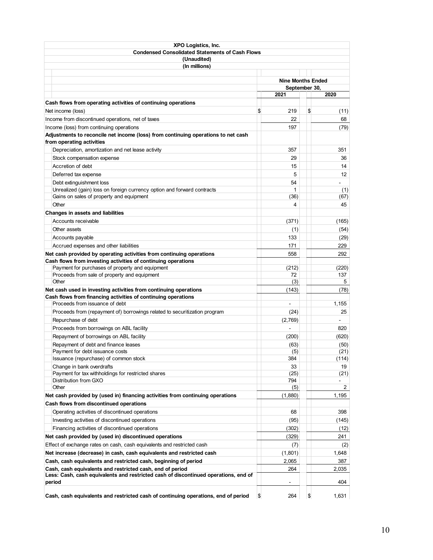| <b>XPO Logistics, Inc.</b>                                                                                     |                          |                          |
|----------------------------------------------------------------------------------------------------------------|--------------------------|--------------------------|
| <b>Condensed Consolidated Statements of Cash Flows</b>                                                         |                          |                          |
| (Unaudited)                                                                                                    |                          |                          |
| (In millions)                                                                                                  |                          |                          |
|                                                                                                                |                          |                          |
|                                                                                                                | <b>Nine Months Ended</b> |                          |
|                                                                                                                | September 30,<br>2021    | 2020                     |
|                                                                                                                |                          |                          |
| Cash flows from operating activities of continuing operations                                                  |                          |                          |
| Net income (loss)                                                                                              | \$<br>219                | \$<br>(11)               |
| Income from discontinued operations, net of taxes                                                              | 22                       | 68                       |
| Income (loss) from continuing operations                                                                       | 197                      | (79)                     |
| Adjustments to reconcile net income (loss) from continuing operations to net cash<br>from operating activities |                          |                          |
|                                                                                                                |                          |                          |
| Depreciation, amortization and net lease activity                                                              | 357                      | 351                      |
| Stock compensation expense                                                                                     | 29                       | 36                       |
| Accretion of debt                                                                                              | 15                       | 14                       |
| Deferred tax expense                                                                                           | 5                        | 12                       |
| Debt extinguishment loss                                                                                       | 54                       |                          |
| Unrealized (gain) loss on foreign currency option and forward contracts                                        | 1                        | (1)                      |
| Gains on sales of property and equipment<br>Other                                                              | (36)<br>4                | (67)                     |
|                                                                                                                |                          | 45                       |
| Changes in assets and liabilities                                                                              |                          |                          |
| Accounts receivable                                                                                            | (371)                    | (165)                    |
| Other assets                                                                                                   | (1)                      | (54)                     |
| Accounts payable                                                                                               | 133                      | (29)                     |
| Accrued expenses and other liabilities                                                                         | 171                      | 229                      |
| Net cash provided by operating activities from continuing operations                                           | 558                      | 292                      |
| Cash flows from investing activities of continuing operations                                                  |                          |                          |
| Payment for purchases of property and equipment                                                                | (212)<br>72              | (220)<br>137             |
| Proceeds from sale of property and equipment<br>Other                                                          | (3)                      | 5                        |
| Net cash used in investing activities from continuing operations                                               | (143)                    | (78)                     |
| Cash flows from financing activities of continuing operations                                                  |                          |                          |
| Proceeds from issuance of debt                                                                                 | $\blacksquare$           | 1,155                    |
| Proceeds from (repayment of) borrowings related to securitization program                                      | (24)                     | 25                       |
| Repurchase of debt                                                                                             | (2,769)                  |                          |
| Proceeds from borrowings on ABL facility                                                                       |                          | 820                      |
| Repayment of borrowings on ABL facility                                                                        | (200)                    | (620)                    |
| Repayment of debt and finance leases                                                                           | (63)                     | (50)                     |
| Payment for debt issuance costs                                                                                | (5)                      | (21)                     |
| Issuance (repurchase) of common stock                                                                          | 384                      | (114)                    |
| Change in bank overdrafts                                                                                      | 33                       | 19                       |
| Payment for tax withholdings for restricted shares                                                             | (25)                     | (21)                     |
| Distribution from GXO                                                                                          | 794                      | $\overline{\phantom{0}}$ |
| Other                                                                                                          | (5)                      | 2                        |
| Net cash provided by (used in) financing activities from continuing operations                                 | (1,880)                  | 1,195                    |
| Cash flows from discontinued operations                                                                        |                          |                          |
| Operating activities of discontinued operations                                                                | 68                       | 398                      |
| Investing activities of discontinued operations                                                                | (95)                     | (145)                    |
| Financing activities of discontinued operations                                                                | (302)                    | (12)                     |
| Net cash provided by (used in) discontinued operations                                                         | (329)                    | 241                      |
| Effect of exchange rates on cash, cash equivalents and restricted cash                                         | (7)                      | (2)                      |
| Net increase (decrease) in cash, cash equivalents and restricted cash                                          | (1,801)                  | 1,648                    |
| Cash, cash equivalents and restricted cash, beginning of period                                                | 2,065                    | 387                      |
| Cash, cash equivalents and restricted cash, end of period                                                      | 264                      | 2,035                    |
| Less: Cash, cash equivalents and restricted cash of discontinued operations, end of                            |                          |                          |
| period                                                                                                         |                          | 404                      |
| Cash, cash equivalents and restricted cash of continuing operations, end of period                             | \$<br>264                | \$<br>1,631              |
|                                                                                                                |                          |                          |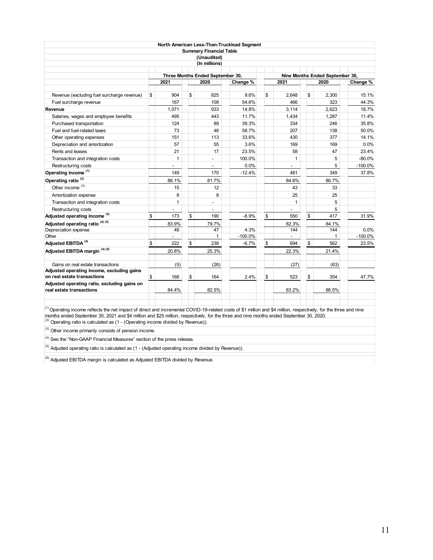|                                                                                                                                                                    |                          |                                          | North American Less-Than-Truckload Segment |              |                                         |           |
|--------------------------------------------------------------------------------------------------------------------------------------------------------------------|--------------------------|------------------------------------------|--------------------------------------------|--------------|-----------------------------------------|-----------|
|                                                                                                                                                                    |                          | <b>Summary Financial Table</b>           |                                            |              |                                         |           |
|                                                                                                                                                                    |                          | (Unaudited)                              |                                            |              |                                         |           |
|                                                                                                                                                                    |                          | (In millions)                            |                                            |              |                                         |           |
|                                                                                                                                                                    |                          |                                          |                                            |              |                                         |           |
|                                                                                                                                                                    | 2021                     | Three Months Ended September 30,<br>2020 | Change %                                   | 2021         | Nine Months Ended September 30,<br>2020 |           |
|                                                                                                                                                                    |                          |                                          |                                            |              |                                         | Change %  |
| Revenue (excluding fuel surcharge revenue)                                                                                                                         | \$<br>904                | \$<br>825                                | 9.6%                                       | \$<br>2,648  | \$<br>2,300                             | 15.1%     |
| Fuel surcharge revenue                                                                                                                                             | 167                      | 108                                      | 54.6%                                      | 466          | 323                                     | 44.3%     |
| Revenue                                                                                                                                                            | 1.071                    | 933                                      | 14.8%                                      | 3.114        | 2.623                                   | 18.7%     |
| Salaries, wages and employee benefits                                                                                                                              | 495                      | 443                                      | 11.7%                                      | 1,434        | 1,287                                   | 11.4%     |
| Purchased transportation                                                                                                                                           | 124                      | 89                                       | 39.3%                                      | 334          | 246                                     | 35.8%     |
| Fuel and fuel-related taxes                                                                                                                                        | 73                       | 46                                       | 58.7%                                      | 207          | 138                                     | 50.0%     |
| Other operating expenses                                                                                                                                           | 151                      | 113                                      | 33.6%                                      | 430          | 377                                     | 14.1%     |
| Depreciation and amortization                                                                                                                                      | 57                       | 55                                       | 3.6%                                       | 169          | 169                                     | 0.0%      |
| Rents and leases                                                                                                                                                   | 21                       | 17                                       | 23.5%                                      | 58           | 47                                      | 23.4%     |
| Transaction and integration costs                                                                                                                                  | 1                        |                                          | 100.0%                                     | 1            | 5                                       | $-80.0%$  |
| Restructuring costs                                                                                                                                                |                          |                                          | 0.0%                                       |              | 5                                       | $-100.0%$ |
| Operating income <sup>(1)</sup>                                                                                                                                    | 149                      | 170                                      | $-12.4%$                                   | 481          | 349                                     | 37.8%     |
| Operating ratio <sup>(2)</sup>                                                                                                                                     | 86.1%                    | 81.7%                                    |                                            | 84.6%        | 86.7%                                   |           |
| Other income <sup>(3)</sup>                                                                                                                                        | 15                       | 12                                       |                                            | 43           | 33                                      |           |
| Amortization expense                                                                                                                                               | 8                        | 8                                        |                                            | 25           | 25                                      |           |
| Transaction and integration costs                                                                                                                                  | 1                        | L,                                       |                                            | $\mathbf{1}$ | 5                                       |           |
| Restructuring costs                                                                                                                                                |                          |                                          |                                            |              | 5                                       |           |
| Adjusted operating income <sup>(4)</sup>                                                                                                                           | \$<br>173                | \$<br>190                                | $-8.9%$                                    | \$<br>550    | \$<br>417                               | 31.9%     |
| Adjusted operating ratio <sup>(4)(5)</sup>                                                                                                                         | 83.9%                    | 79.7%                                    |                                            | 82.3%        | 84.1%                                   |           |
| Depreciation expense                                                                                                                                               | 49                       | 47                                       | 4.3%                                       | 144          | 144                                     | 0.0%      |
| Other                                                                                                                                                              | $\overline{\phantom{0}}$ | $\mathbf{1}$                             | $-100.0%$                                  |              | 1                                       | $-100.0%$ |
| Adjusted EBITDA <sup>(4)</sup>                                                                                                                                     | \$<br>222                | \$<br>238                                | $-6.7%$                                    | \$<br>694    | \$<br>562                               | 23.5%     |
| Adjusted EBITDA margin (4) (6)                                                                                                                                     | 20.8%                    | 25.3%                                    |                                            | 22.3%        | 21.4%                                   |           |
| Gains on real estate transactions                                                                                                                                  | (5)                      | (26)                                     |                                            | (27)         | (63)                                    |           |
| Adjusted operating income, excluding gains                                                                                                                         |                          |                                          |                                            |              |                                         |           |
| on real estate transactions                                                                                                                                        | \$<br>168                | \$<br>164                                | 2.4%                                       | \$<br>523    | \$<br>354                               | 47.7%     |
| Adjusted operating ratio, excluding gains on<br>real estate transactions                                                                                           | 84.4%                    | 82.5%                                    |                                            | 83.2%        | 86.5%                                   |           |
| (1) Operating income reflects the net impact of direct and incremental COVID 10 related sects of \$1 million and \$4 million, respectively, for the three and pine |                          |                                          |                                            |              |                                         |           |

 $(2)$  Operating ratio is calculated as (1 - (Operating income divided by Revenue)). <sup>(1)</sup> Operating income reflects the net impact of direct and incremental COVID-19-related costs of \$1 million and \$4 million, respectively, for the three and nine months ended September 30, 2021 and \$4 million and \$25 million, respectively, for the three and nine months ended September 30, 2020.

 $(3)$  Other income primarily consists of pension income.

 $(4)$  See the "Non-GAAP Financial Measures" section of the press release.

 $^{(5)}$  Adjusted operating ratio is calculated as (1 - (Adjusted operating income divided by Revenue)).

 $(6)$  Adjusted EBITDA margin is calculated as Adjusted EBITDA divided by Revenue.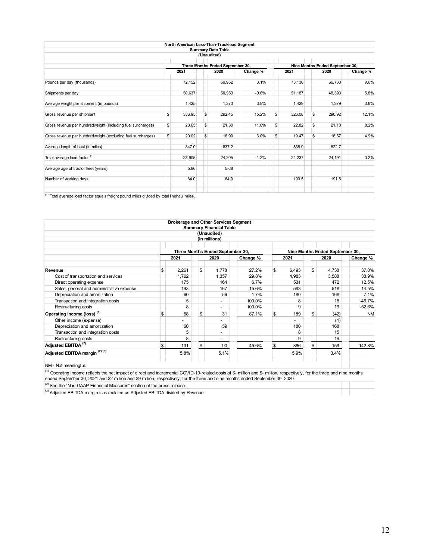|                                                                                                     |               |        | North American Less-Than-Truckload Segment |          |              |                                 |          |
|-----------------------------------------------------------------------------------------------------|---------------|--------|--------------------------------------------|----------|--------------|---------------------------------|----------|
|                                                                                                     |               |        | <b>Summary Data Table</b>                  |          |              |                                 |          |
|                                                                                                     |               |        | (Unaudited)                                |          |              |                                 |          |
|                                                                                                     |               |        | Three Months Ended September 30,           |          |              | Nine Months Ended September 30, |          |
|                                                                                                     |               | 2021   | 2020                                       | Change % | 2021         | 2020                            | Change % |
| Pounds per day (thousands)                                                                          |               | 72,152 | 69,952                                     | 3.1%     | 73,138       | 66,730                          | 9.6%     |
| Shipments per day                                                                                   |               | 50,637 | 50,953                                     | $-0.6%$  | 51,187       | 48,393                          | 5.8%     |
| Average weight per shipment (in pounds)                                                             |               | 1,425  | 1,373                                      | 3.8%     | 1,429        | 1.379                           | 3.6%     |
| Gross revenue per shipment                                                                          | \$            | 336.95 | \$<br>292.45                               | 15.2%    | \$<br>326.08 | \$<br>290.92                    | 12.1%    |
| Gross revenue per hundredweight (including fuel surcharges)                                         | $\frac{1}{2}$ | 23.65  | \$<br>21.30                                | 11.0%    | \$<br>22.82  | \$<br>21.10                     | 8.2%     |
| Gross revenue per hundredweight (excluding fuel surcharges)                                         | $\frac{1}{2}$ | 20.02  | \$<br>18.90                                | 6.0%     | \$<br>19.47  | \$<br>18.57                     | 4.9%     |
| Average length of haul (in miles)                                                                   |               | 847.0  | 837.2                                      |          | 838.9        | 822.7                           |          |
| Total average load factor (1)                                                                       |               | 23,905 | 24,205                                     | $-1.2%$  | 24,237       | 24,191                          | 0.2%     |
| Average age of tractor fleet (years)                                                                |               | 5.86   | 5.68                                       |          |              |                                 |          |
| Number of working days                                                                              |               | 64.0   | 64.0                                       |          | 190.5        | 191.5                           |          |
| $\frac{1}{10}$ Total overgon load footer equals freight nound miles divided by total linebout miles |               |        |                                            |          |              |                                 |          |

 $(1)$  Total average load factor equals freight pound miles divided by total linehaul miles.

|                                                                                                                                                                           |             |              | <b>Brokerage and Other Services Segment</b> |          |     |       |               |                                 |           |
|---------------------------------------------------------------------------------------------------------------------------------------------------------------------------|-------------|--------------|---------------------------------------------|----------|-----|-------|---------------|---------------------------------|-----------|
|                                                                                                                                                                           |             |              | <b>Summary Financial Table</b>              |          |     |       |               |                                 |           |
|                                                                                                                                                                           |             |              | (Unaudited)                                 |          |     |       |               |                                 |           |
|                                                                                                                                                                           |             |              | (In millions)                               |          |     |       |               |                                 |           |
|                                                                                                                                                                           |             |              | Three Months Ended September 30,            |          |     |       |               | Nine Months Ended September 30, |           |
|                                                                                                                                                                           | 2021        |              | 2020                                        | Change % |     | 2021  |               | 2020                            | Change %  |
| Revenue                                                                                                                                                                   | \$<br>2,261 | \$           | 1.778                                       | 27.2%    | \$  | 6.493 | \$            | 4.738                           | 37.0%     |
| Cost of transportation and services                                                                                                                                       | 1.762       |              | 1.357                                       | 29.8%    |     | 4.983 |               | 3.588                           | 38.9%     |
| Direct operating expense                                                                                                                                                  | 175         |              | 164                                         | 6.7%     |     | 531   |               | 472                             | 12.5%     |
| Sales, general and administrative expense                                                                                                                                 | 193         |              | 167                                         | 15.6%    |     | 593   |               | 518                             | 14.5%     |
| Depreciation and amortization                                                                                                                                             | 60          |              | 59                                          | 1.7%     |     | 180   |               | 168                             | 7.1%      |
| Transaction and integration costs                                                                                                                                         | 5           |              | $\overline{\phantom{a}}$                    | 100.0%   |     | 8     |               | 15                              | $-46.7%$  |
| Restructuring costs                                                                                                                                                       | 8           |              | $\overline{\phantom{0}}$                    | 100.0%   |     | 9     |               | 19                              | $-52.6%$  |
| Operating income (loss) <sup>(1)</sup>                                                                                                                                    | \$<br>58    | $\mathbb{S}$ | 31                                          | 87.1%    | \$  | 189   | $\mathbf{s}$  | (42)                            | <b>NM</b> |
| Other income (expense)                                                                                                                                                    |             |              |                                             |          |     |       |               | (1)                             |           |
| Depreciation and amortization                                                                                                                                             | 60          |              | 59                                          |          |     | 180   |               | 168                             |           |
| Transaction and integration costs                                                                                                                                         | 5           |              | $\overline{\phantom{a}}$                    |          |     | 8     |               | 15                              |           |
| Restructuring costs                                                                                                                                                       | 8           |              | $\overline{\phantom{a}}$                    |          |     | 9     |               | 19                              |           |
| Adjusted EBITDA <sup>(2)</sup>                                                                                                                                            | \$<br>131   | \$           | 90                                          | 45.6%    | l\$ | 386   | $\mathbf{\$}$ | 159                             | 142.8%    |
| Adjusted EBITDA margin <sup>(2)(3)</sup>                                                                                                                                  | 5.8%        |              | 5.1%                                        |          |     | 5.9%  |               | 3.4%                            |           |
| NM - Not meaningful.                                                                                                                                                      |             |              |                                             |          |     |       |               |                                 |           |
| (1) Operating income reflects the net impact of direct and incremental COVID-19-related costs of \$- million and \$- million, respectively, for the three and nine months |             |              |                                             |          |     |       |               |                                 |           |
| ended September 30, 2021 and \$2 million and \$9 million, respectively, for the three and nine months ended September 30, 2020.                                           |             |              |                                             |          |     |       |               |                                 |           |

 $<sup>(2)</sup>$  See the "Non-GAAP Financial Measures" section of the press release.</sup>

 $^{(3)}$  Adjusted EBITDA margin is calculated as Adjusted EBITDA divided by Revenue.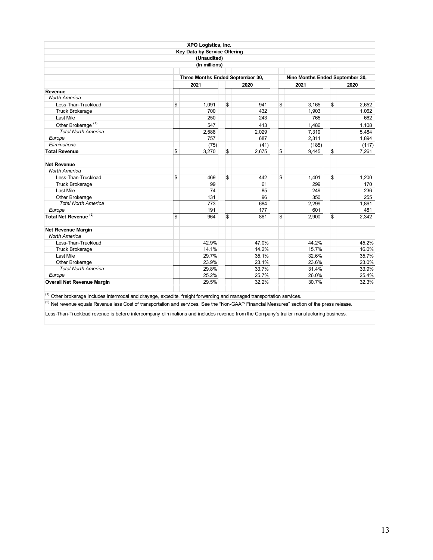|                                                                                                                                                         | XPO Logistics, Inc.              |          |       |                                 |             |
|---------------------------------------------------------------------------------------------------------------------------------------------------------|----------------------------------|----------|-------|---------------------------------|-------------|
|                                                                                                                                                         | Key Data by Service Offering     |          |       |                                 |             |
|                                                                                                                                                         | (Unaudited)                      |          |       |                                 |             |
|                                                                                                                                                         | (In millions)                    |          |       |                                 |             |
|                                                                                                                                                         | Three Months Ended September 30, |          |       | Nine Months Ended September 30, |             |
|                                                                                                                                                         | 2021                             |          | 2020  | 2021                            | 2020        |
| Revenue                                                                                                                                                 |                                  |          |       |                                 |             |
| North America                                                                                                                                           |                                  |          |       |                                 |             |
| Less-Than-Truckload                                                                                                                                     | \$<br>1.091                      | \$       | 941   | \$<br>3.165                     | \$<br>2.652 |
| <b>Truck Brokerage</b>                                                                                                                                  | 700                              |          | 432   | 1,903                           | 1,062       |
| <b>Last Mile</b>                                                                                                                                        | 250                              |          | 243   | 765                             | 662         |
| Other Brokerage <sup>(1)</sup>                                                                                                                          | 547                              |          | 413   | 1,486                           | 1,108       |
| <b>Total North America</b>                                                                                                                              | 2,588                            |          | 2,029 | 7,319                           | 5.484       |
| Europe                                                                                                                                                  | 757                              |          | 687   | 2,311                           | 1,894       |
| Eliminations                                                                                                                                            | (75)                             |          | (41)  | (185)                           | (117)       |
| <b>Total Revenue</b>                                                                                                                                    | \$<br>3.270                      | <b>S</b> | 2,675 | \$<br>9,445                     | \$<br>7.261 |
| <b>Net Revenue</b>                                                                                                                                      |                                  |          |       |                                 |             |
| North America                                                                                                                                           |                                  |          |       |                                 |             |
| Less-Than-Truckload                                                                                                                                     | \$<br>469                        | \$       | 442   | \$<br>1,401                     | \$<br>1.200 |
| <b>Truck Brokerage</b>                                                                                                                                  | 99                               |          | 61    | 299                             | 170         |
| Last Mile                                                                                                                                               | 74                               |          | 85    | 249                             | 236         |
| Other Brokerage                                                                                                                                         | 131                              |          | 96    | 350                             | 255         |
| <b>Total North America</b>                                                                                                                              | 773                              |          | 684   | 2.299                           | 1.861       |
| Europe                                                                                                                                                  | 191                              |          | 177   | 601                             | 481         |
| Total Net Revenue <sup>(2)</sup>                                                                                                                        | \$<br>964                        | \$       | 861   | \$<br>2.900                     | \$<br>2.342 |
| Net Revenue Margin                                                                                                                                      |                                  |          |       |                                 |             |
| <b>North America</b>                                                                                                                                    |                                  |          |       |                                 |             |
| Less-Than-Truckload                                                                                                                                     | 42.9%                            |          | 47.0% | 44.2%                           | 45.2%       |
| <b>Truck Brokerage</b>                                                                                                                                  | 14.1%                            |          | 14.2% | 15.7%                           | 16.0%       |
| Last Mile                                                                                                                                               | 29.7%                            |          | 35.1% | 32.6%                           | 35.7%       |
| Other Brokerage                                                                                                                                         | 23.9%                            |          | 23.1% | 23.6%                           | 23.0%       |
| <b>Total North America</b>                                                                                                                              | 29.8%                            |          | 33.7% | 31.4%                           | 33.9%       |
| Europe                                                                                                                                                  | 25.2%                            |          | 25.7% | 26.0%                           | 25.4%       |
| <b>Overall Net Revenue Margin</b>                                                                                                                       | 29.5%                            |          | 32.2% | 30.7%                           | 32.3%       |
| <sup>(1)</sup> Other brokerage includes intermodal and drayage, expedite, freight forwarding and managed transportation services.                       |                                  |          |       |                                 |             |
| <sup>(2)</sup> Net revenue equals Revenue less Cost of transportation and services. See the "Non-GAAP Financial Measures" section of the press release. |                                  |          |       |                                 |             |
| Less-Than-Truckload revenue is before intercompany eliminations and includes revenue from the Company's trailer manufacturing business.                 |                                  |          |       |                                 |             |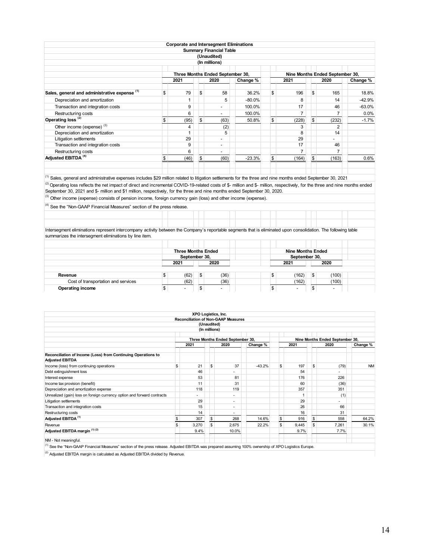|                                               |            |     | <b>Corporate and Intersegment Eliminations</b> |           |             |     |                                 |          |
|-----------------------------------------------|------------|-----|------------------------------------------------|-----------|-------------|-----|---------------------------------|----------|
|                                               |            |     | <b>Summary Financial Table</b>                 |           |             |     |                                 |          |
|                                               |            |     | (Unaudited)                                    |           |             |     |                                 |          |
|                                               |            |     | (In millions)                                  |           |             |     |                                 |          |
|                                               |            |     |                                                |           |             |     |                                 |          |
|                                               |            |     | Three Months Ended September 30,               |           |             |     | Nine Months Ended September 30, |          |
|                                               | 2021       |     | 2020                                           | Change %  | 2021        |     | 2020                            | Change % |
| Sales, general and administrative expense (1) | \$<br>79   | \$  | 58                                             | 36.2%     | \$<br>196   | \$  | 165                             | 18.8%    |
| Depreciation and amortization                 |            |     | 5                                              | $-80.0\%$ | 8           |     | 14                              | $-42.9%$ |
| Transaction and integration costs             | 9          |     | $\overline{\phantom{0}}$                       | 100.0%    | 17          |     | 46                              | $-63.0%$ |
| Restructuring costs                           | 6          |     | $\overline{\phantom{0}}$                       | 100.0%    | 7           |     |                                 | 0.0%     |
| Operating loss <sup>(2)</sup>                 | \$<br>(95) | \$  | (63)                                           | 50.8%     | \$<br>(228) | \$. | (232)                           | $-1.7%$  |
| Other income (expense) <sup>(3)</sup>         | 4          |     | (2)                                            |           | 3           |     | $\overline{2}$                  |          |
| Depreciation and amortization                 |            |     | 5                                              |           | 8           |     | 14                              |          |
| Litigation settlements                        | 29         |     | $\overline{\phantom{0}}$                       |           | 29          |     | $\overline{\phantom{a}}$        |          |
| Transaction and integration costs             | 9          |     | $\overline{\phantom{a}}$                       |           | 17          |     | 46                              |          |
| Restructuring costs                           | 6          |     | $\overline{\phantom{0}}$                       |           | 7           |     | $\overline{7}$                  |          |
| Adjusted EBITDA <sup>(4)</sup>                | \$<br>(46) | l\$ | (60)                                           | $-23.3%$  | \$<br>(164) | \$  | (163)                           | 0.6%     |
|                                               |            |     |                                                |           |             |     |                                 |          |

<sup>(1)</sup> Sales, general and administrative expenses includes \$29 million related to litigation settlements for the three and nine months ended September 30, 2021 (2) Operating loss reflects the net impact of direct and incremental COVID-19-related costs of \$- million and \$- million, respectively, for the three and nine months ended September 30, 2021 and \$- million and \$1 million, respectively, for the three and nine months ended September 30, 2020.

<sup>(3)</sup> Other income (expense) consists of pension income, foreign currency gain (loss) and other income (expense).

<sup>(4)</sup> See the "Non-GAAP Financial Measures" section of the press release.

Intersegment eliminations represent intercompany activity between the Company's reportable segments that is eliminated upon consolidation. The following table summarizes the intersegment eliminations by line item.

|                                     | <b>Three Months Ended</b> |            |  | <b>Nine Months Ended</b> |    |                          |  |
|-------------------------------------|---------------------------|------------|--|--------------------------|----|--------------------------|--|
|                                     | September 30,             |            |  | September 30,            |    |                          |  |
|                                     | 2021                      | 2020       |  | 2021                     |    | 2020                     |  |
|                                     |                           |            |  |                          |    |                          |  |
| Revenue                             | (62)                      | \$<br>(36) |  | (162)                    | ß. | (100)                    |  |
| Cost of transportation and services | (62)                      | (36)       |  | (162)                    |    | (100)                    |  |
| <b>Operating income</b>             | $\overline{\phantom{0}}$  |            |  |                          |    | $\overline{\phantom{0}}$ |  |

|                                                                                                                                                                  | XPO Logistics, Inc. |               |                                            |          |              |       |     |                                 |           |
|------------------------------------------------------------------------------------------------------------------------------------------------------------------|---------------------|---------------|--------------------------------------------|----------|--------------|-------|-----|---------------------------------|-----------|
|                                                                                                                                                                  |                     |               | <b>Reconciliation of Non-GAAP Measures</b> |          |              |       |     |                                 |           |
|                                                                                                                                                                  |                     | (Unaudited)   |                                            |          |              |       |     |                                 |           |
|                                                                                                                                                                  |                     | (In millions) |                                            |          |              |       |     |                                 |           |
|                                                                                                                                                                  |                     |               | Three Months Ended September 30,           |          |              |       |     | Nine Months Ended September 30, |           |
|                                                                                                                                                                  | 2021                |               | 2020                                       | Change % |              | 2021  |     | 2020                            | Change %  |
|                                                                                                                                                                  |                     |               |                                            |          |              |       |     |                                 |           |
| Reconciliation of Income (Loss) from Continuing Operations to<br><b>Adjusted EBITDA</b>                                                                          |                     |               |                                            |          |              |       |     |                                 |           |
| Income (loss) from continuing operations                                                                                                                         | \$<br>21            | \$            | 37                                         | $-43.2%$ | \$           | 197   | \$  | (79)                            | <b>NM</b> |
| Debt extinguishment loss                                                                                                                                         | 46                  |               |                                            |          |              | 54    |     |                                 |           |
| Interest expense                                                                                                                                                 | 53                  |               | 81                                         |          |              | 176   |     | 226                             |           |
| Income tax provision (benefit)                                                                                                                                   | 11                  |               | 31                                         |          |              | 60    |     | (36)                            |           |
| Depreciation and amortization expense                                                                                                                            | 118                 |               | 119                                        |          |              | 357   |     | 351                             |           |
| Unrealized (gain) loss on foreign currency option and forward contracts                                                                                          |                     |               | ٠                                          |          |              |       |     | (1)                             |           |
| Litigation settlements                                                                                                                                           | 29                  |               | ۰                                          |          |              | 29    |     |                                 |           |
| Transaction and integration costs                                                                                                                                | 15                  |               | ۰                                          |          |              | 26    |     | 66                              |           |
| Restructuring costs                                                                                                                                              | 14                  |               | ٠                                          |          |              | 16    |     | 31                              |           |
| Adjusted EBITDA <sup>(1)</sup>                                                                                                                                   | \$<br>307           | $\mathbb{S}$  | 268                                        | 14.6%    | $\mathbb{S}$ | 916   | \$. | 558                             | 64.2%     |
| Revenue                                                                                                                                                          | \$<br>3,270         | \$            | 2,675                                      | 22.2%    | \$           | 9,445 | \$  | 7,261                           | 30.1%     |
| Adjusted EBITDA margin (1) (2)                                                                                                                                   | 9.4%                |               | 10.0%                                      |          |              | 9.7%  |     | 7.7%                            |           |
| NM - Not meaningful.                                                                                                                                             |                     |               |                                            |          |              |       |     |                                 |           |
| <sup>(1)</sup> See the "Non-GAAP Financial Measures" section of the press release. Adjusted EBITDA was prepared assuming 100% ownership of XPO Logistics Europe. |                     |               |                                            |          |              |       |     |                                 |           |

 $(2)$  Adjusted EBITDA margin is calculated as Adjusted EBITDA divided by Revenue.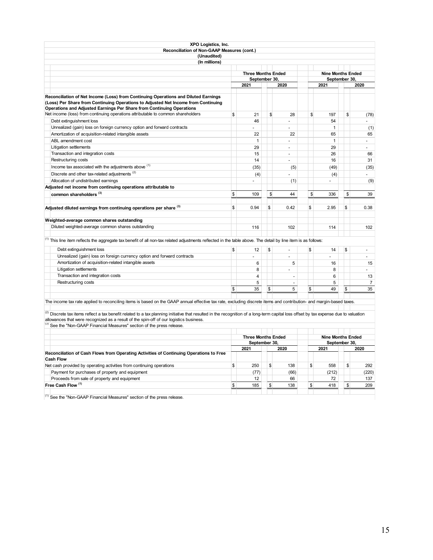| XPO Logistics, Inc.<br>Reconciliation of Non-GAAP Measures (cont.)                                                                                                                                                                                                                                                                                              |               |                           |                      |                                                                                                                                                                                                                                                                                                                               |    |                |
|-----------------------------------------------------------------------------------------------------------------------------------------------------------------------------------------------------------------------------------------------------------------------------------------------------------------------------------------------------------------|---------------|---------------------------|----------------------|-------------------------------------------------------------------------------------------------------------------------------------------------------------------------------------------------------------------------------------------------------------------------------------------------------------------------------|----|----------------|
| (Unaudited)                                                                                                                                                                                                                                                                                                                                                     |               |                           |                      |                                                                                                                                                                                                                                                                                                                               |    |                |
| (In millions)                                                                                                                                                                                                                                                                                                                                                   |               |                           |                      |                                                                                                                                                                                                                                                                                                                               |    |                |
|                                                                                                                                                                                                                                                                                                                                                                 |               | <b>Three Months Ended</b> |                      |                                                                                                                                                                                                                                                                                                                               |    |                |
|                                                                                                                                                                                                                                                                                                                                                                 |               | September 30,             |                      |                                                                                                                                                                                                                                                                                                                               |    |                |
|                                                                                                                                                                                                                                                                                                                                                                 |               | 2021                      | 2020                 | <b>Nine Months Ended</b><br>September 30,<br>2021<br>\$<br>197<br>54<br>$\mathbf{1}$<br>65<br>$\mathbf{1}$<br>29<br>26<br>16<br>(49)<br>(4)<br>÷<br>\$<br>336<br>\$<br>2.95<br>114<br>\$<br>14<br>16<br>8<br>6<br>5<br>\$<br>49<br><b>Nine Months Ended</b><br>September 30,<br>2021<br>\$<br>558<br>(212)<br>72<br>\$<br>418 |    | 2020           |
|                                                                                                                                                                                                                                                                                                                                                                 |               |                           |                      |                                                                                                                                                                                                                                                                                                                               |    |                |
| Reconciliation of Net Income (Loss) from Continuing Operations and Diluted Earnings<br>(Loss) Per Share from Continuing Operations to Adjusted Net Income from Continuing<br>Operations and Adjusted Earnings Per Share from Continuing Operations                                                                                                              |               |                           |                      |                                                                                                                                                                                                                                                                                                                               |    |                |
| Net income (loss) from continuing operations attributable to common shareholders                                                                                                                                                                                                                                                                                | \$            | 21                        | \$<br>28             |                                                                                                                                                                                                                                                                                                                               | \$ | (78)           |
| Debt extinguishment loss                                                                                                                                                                                                                                                                                                                                        |               | 46                        |                      |                                                                                                                                                                                                                                                                                                                               |    | ÷.             |
| Unrealized (gain) loss on foreign currency option and forward contracts                                                                                                                                                                                                                                                                                         |               |                           |                      |                                                                                                                                                                                                                                                                                                                               |    | (1)            |
| Amortization of acquisition-related intangible assets                                                                                                                                                                                                                                                                                                           |               | 22                        | 22                   |                                                                                                                                                                                                                                                                                                                               |    | 65             |
| ABL amendment cost                                                                                                                                                                                                                                                                                                                                              |               | $\mathbf{1}$              | ÷,                   |                                                                                                                                                                                                                                                                                                                               |    | $\sim$         |
| Litigation settlements                                                                                                                                                                                                                                                                                                                                          |               | 29                        | ÷,                   |                                                                                                                                                                                                                                                                                                                               |    | ÷.             |
| Transaction and integration costs                                                                                                                                                                                                                                                                                                                               |               | 15                        | $\overline{a}$       |                                                                                                                                                                                                                                                                                                                               |    | 66             |
| Restructuring costs                                                                                                                                                                                                                                                                                                                                             |               | 14                        | ÷.                   |                                                                                                                                                                                                                                                                                                                               |    | 31             |
| Income tax associated with the adjustments above (1)                                                                                                                                                                                                                                                                                                            |               | (35)                      | (5)                  |                                                                                                                                                                                                                                                                                                                               |    | (35)           |
| Discrete and other tax-related adjustments <sup>(2)</sup>                                                                                                                                                                                                                                                                                                       |               | (4)                       |                      |                                                                                                                                                                                                                                                                                                                               |    |                |
| Allocation of undistributed earnings                                                                                                                                                                                                                                                                                                                            |               | ÷.                        | (1)                  |                                                                                                                                                                                                                                                                                                                               |    | (9)            |
| Adjusted net income from continuing operations attributable to                                                                                                                                                                                                                                                                                                  |               |                           |                      |                                                                                                                                                                                                                                                                                                                               |    |                |
| common shareholders <sup>(3)</sup>                                                                                                                                                                                                                                                                                                                              | S.            | 109                       | \$<br>44             |                                                                                                                                                                                                                                                                                                                               | \$ | 39             |
| Adjusted diluted earnings from continuing operations per share (3)                                                                                                                                                                                                                                                                                              | $\mathsf{\$}$ | 0.94                      | \$<br>0.42           |                                                                                                                                                                                                                                                                                                                               | \$ | 0.38           |
| Weighted-average common shares outstanding                                                                                                                                                                                                                                                                                                                      |               |                           |                      |                                                                                                                                                                                                                                                                                                                               |    |                |
| Diluted weighted-average common shares outstanding                                                                                                                                                                                                                                                                                                              |               | 116                       | 102                  |                                                                                                                                                                                                                                                                                                                               |    | 102            |
| <sup>(1)</sup> This line item reflects the aggregate tax benefit of all non-tax related adjustments reflected in the table above. The detail by line item is as follows:                                                                                                                                                                                        |               |                           |                      |                                                                                                                                                                                                                                                                                                                               |    |                |
| Debt extinguishment loss                                                                                                                                                                                                                                                                                                                                        | \$            | 12                        | \$<br>$\overline{a}$ |                                                                                                                                                                                                                                                                                                                               | \$ | $\overline{a}$ |
| Unrealized (gain) loss on foreign currency option and forward contracts                                                                                                                                                                                                                                                                                         |               |                           |                      |                                                                                                                                                                                                                                                                                                                               |    | $\sim$         |
| Amortization of acquisition-related intangible assets                                                                                                                                                                                                                                                                                                           |               | 6                         | 5                    |                                                                                                                                                                                                                                                                                                                               |    | 15             |
| Litigation settlements                                                                                                                                                                                                                                                                                                                                          |               | 8                         | ÷.                   |                                                                                                                                                                                                                                                                                                                               |    | $\overline{a}$ |
| Transaction and integration costs                                                                                                                                                                                                                                                                                                                               |               | $\overline{4}$            | $\overline{a}$       |                                                                                                                                                                                                                                                                                                                               |    | 13             |
| Restructuring costs                                                                                                                                                                                                                                                                                                                                             |               | 5                         | $\frac{1}{2}$        |                                                                                                                                                                                                                                                                                                                               |    | $\overline{7}$ |
|                                                                                                                                                                                                                                                                                                                                                                 | S.            | 35                        | \$<br>5              |                                                                                                                                                                                                                                                                                                                               | \$ | 35             |
|                                                                                                                                                                                                                                                                                                                                                                 |               |                           |                      |                                                                                                                                                                                                                                                                                                                               |    |                |
| The income tax rate applied to reconciling items is based on the GAAP annual effective tax rate, excluding discrete items and contribution- and margin-based taxes.                                                                                                                                                                                             |               |                           |                      |                                                                                                                                                                                                                                                                                                                               |    |                |
| $^{(2)}$ Discrete tax items reflect a tax benefit related to a tax planning initiative that resulted in the recognition of a long-term capital loss offset by tax expense due to valuation<br>allowances that were recognized as a result of the spin-off of our logistics business.<br>(3) See the "Non-GAAP Financial Measures" section of the press release. |               |                           |                      |                                                                                                                                                                                                                                                                                                                               |    |                |
|                                                                                                                                                                                                                                                                                                                                                                 |               | <b>Three Months Ended</b> |                      |                                                                                                                                                                                                                                                                                                                               |    |                |
|                                                                                                                                                                                                                                                                                                                                                                 |               | September 30,             |                      |                                                                                                                                                                                                                                                                                                                               |    |                |
|                                                                                                                                                                                                                                                                                                                                                                 |               | 2021                      | 2020                 |                                                                                                                                                                                                                                                                                                                               |    | 2020           |
| Reconciliation of Cash Flows from Operating Activities of Continuing Operations to Free<br><b>Cash Flow</b>                                                                                                                                                                                                                                                     |               |                           |                      |                                                                                                                                                                                                                                                                                                                               |    |                |
| Net cash provided by operating activities from continuing operations                                                                                                                                                                                                                                                                                            | \$            | 250                       | \$<br>138            |                                                                                                                                                                                                                                                                                                                               | \$ | 292            |
| Payment for purchases of property and equipment                                                                                                                                                                                                                                                                                                                 |               | (77)                      | (66)                 |                                                                                                                                                                                                                                                                                                                               |    | (220)          |
| Proceeds from sale of property and equipment                                                                                                                                                                                                                                                                                                                    |               | 12                        | 66                   |                                                                                                                                                                                                                                                                                                                               |    | 137            |
| Free Cash Flow <sup>(1)</sup>                                                                                                                                                                                                                                                                                                                                   | $\mathsf{\$}$ | 185                       | \$<br>138            |                                                                                                                                                                                                                                                                                                                               | \$ | 209            |
|                                                                                                                                                                                                                                                                                                                                                                 |               |                           |                      |                                                                                                                                                                                                                                                                                                                               |    |                |

 $(1)$  See the "Non-GAAP Financial Measures" section of the press release.